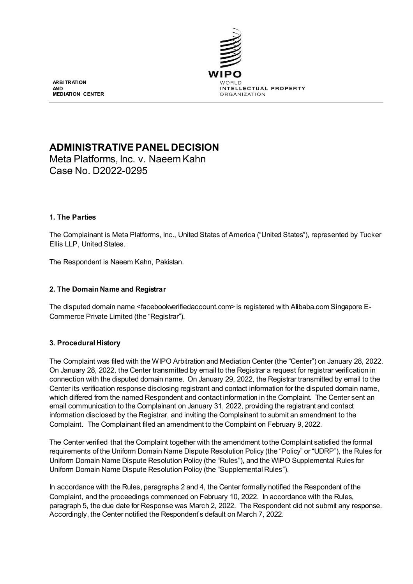

**ARBITRATION AND MEDIATION CENTER**

# **ADMINISTRATIVE PANEL DECISION**

Meta Platforms, Inc. v. Naeem Kahn Case No. D2022-0295

# **1. The Parties**

The Complainant is Meta Platforms, Inc., United States of America ("United States"), represented by Tucker Ellis LLP, United States.

The Respondent is Naeem Kahn, Pakistan.

# **2. The Domain Name and Registrar**

The disputed domain name <facebookverifiedaccount.com> is registered with Alibaba.com Singapore E-Commerce Private Limited (the "Registrar").

# **3. Procedural History**

The Complaint was filed with the WIPO Arbitration and Mediation Center (the "Center") on January 28, 2022. On January 28, 2022, the Center transmitted by email to the Registrar a request for registrar verification in connection with the disputed domain name. On January 29, 2022, the Registrar transmitted by email to the Center its verification response disclosing registrant and contact information for the disputed domain name, which differed from the named Respondent and contact information in the Complaint. The Center sent an email communication to the Complainant on January 31, 2022, providing the registrant and contact information disclosed by the Registrar, and inviting the Complainant to submit an amendment to the Complaint. The Complainant filed an amendment to the Complaint on February 9, 2022.

The Center verified that the Complaint together with the amendment to the Complaint satisfied the formal requirements of the Uniform Domain Name Dispute Resolution Policy (the "Policy" or "UDRP"), the Rules for Uniform Domain Name Dispute Resolution Policy (the "Rules"), and the WIPO Supplemental Rules for Uniform Domain Name Dispute Resolution Policy (the "Supplemental Rules").

In accordance with the Rules, paragraphs 2 and 4, the Center formally notified the Respondent of the Complaint, and the proceedings commenced on February 10, 2022. In accordance with the Rules, paragraph 5, the due date for Response was March 2, 2022. The Respondent did not submit any response. Accordingly, the Center notified the Respondent's default on March 7, 2022.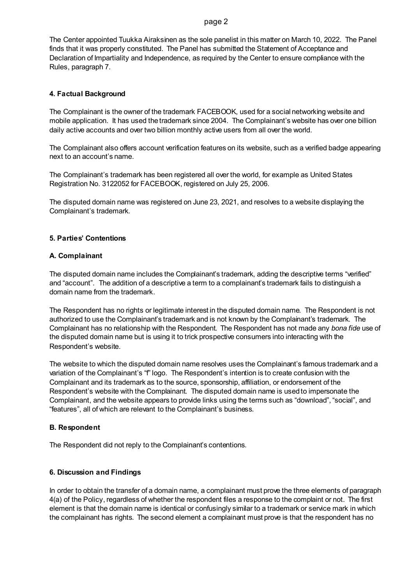#### page 2

The Center appointed Tuukka Airaksinen as the sole panelist in this matter on March 10, 2022. The Panel finds that it was properly constituted. The Panel has submitted the Statement of Acceptance and Declaration of Impartiality and Independence, as required by the Center to ensure compliance with the Rules, paragraph 7.

## **4. Factual Background**

The Complainant is the owner of the trademark FACEBOOK, used for a social networking website and mobile application. It has used the trademark since 2004. The Complainant's website has over one billion daily active accounts and over two billion monthly active users from all over the world.

The Complainant also offers account verification features on its website, such as a verified badge appearing next to an account's name.

The Complainant's trademark has been registered all over the world, for example as United States Registration No. 3122052 for FACEBOOK, registered on July 25, 2006.

The disputed domain name was registered on June 23, 2021, and resolves to a website displaying the Complainant's trademark.

## **5. Parties' Contentions**

## **A. Complainant**

The disputed domain name includes the Complainant's trademark, adding the descriptive terms "verified" and "account". The addition of a descriptive a term to a complainant's trademark fails to distinguish a domain name from the trademark.

The Respondent has no rights or legitimate interest in the disputed domain name. The Respondent is not authorized to use the Complainant's trademark and is not known by the Complainant's trademark. The Complainant has no relationship with the Respondent. The Respondent has not made any *bona fide* use of the disputed domain name but is using it to trick prospective consumers into interacting with the Respondent's website.

The website to which the disputed domain name resolves uses the Complainant's famous trademark and a variation of the Complainant's "f" logo. The Respondent's intention is to create confusion with the Complainant and its trademark as to the source, sponsorship, affiliation, or endorsement of the Respondent's website with the Complainant. The disputed domain name is used to impersonate the Complainant, and the website appears to provide links using the terms such as "download", "social", and "features", all of which are relevant to the Complainant's business.

### **B. Respondent**

The Respondent did not reply to the Complainant's contentions.

# **6. Discussion and Findings**

In order to obtain the transfer of a domain name, a complainant must prove the three elements of paragraph 4(a) of the Policy, regardless of whether the respondent files a response to the complaint or not. The first element is that the domain name is identical or confusingly similar to a trademark or service mark in which the complainant has rights. The second element a complainant must prove is that the respondent has no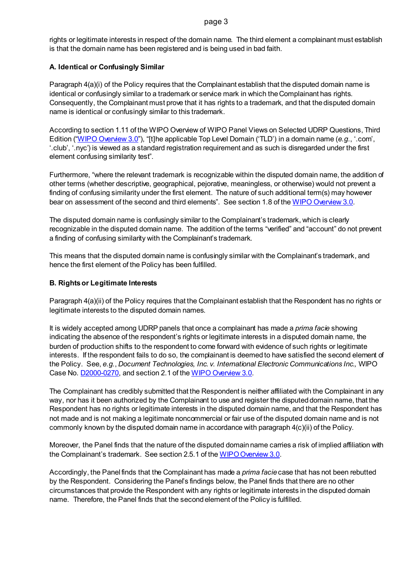#### page 3

rights or legitimate interests in respect of the domain name. The third element a complainant must establish is that the domain name has been registered and is being used in bad faith.

# **A. Identical or Confusingly Similar**

Paragraph 4(a)(i) of the Policy requires that the Complainant establish that the disputed domain name is identical or confusingly similar to a trademark or service mark in which the Complainant has rights. Consequently, the Complainant must prove that it has rights to a trademark, and that the disputed domain name is identical or confusingly similar to this trademark.

According to section 1.11 of the WIPO Overview of WIPO Panel Views on Selected UDRP Questions, Third Edition [\("WIPO Overview 3.0"](https://www.wipo.int/amc/en/domains/search/overview3.0/)), "[t]he applicable Top Level Domain ('TLD') in a domain name (*e.g*., '.com', '.club', '.nyc') is viewed as a standard registration requirement and as such is disregarded under the first element confusing similarity test".

Furthermore, "where the relevant trademark is recognizable within the disputed domain name, the addition of other terms (whether descriptive, geographical, pejorative, meaningless, or otherwise) would not prevent a finding of confusing similarity under the first element. The nature of such additional term(s) may however bear on assessment of the second and third elements". See section 1.8 of th[e WIPO Overview 3.0.](https://www.wipo.int/amc/en/domains/search/overview3.0/)

The disputed domain name is confusingly similar to the Complainant's trademark, which is clearly recognizable in the disputed domain name. The addition of the terms "verified" and "account" do not prevent a finding of confusing similarity with the Complainant's trademark.

This means that the disputed domain name is confusingly similar with the Complainant's trademark, and hence the first element of the Policy has been fulfilled.

# **B. Rights or Legitimate Interests**

Paragraph 4(a)(ii) of the Policy requires that the Complainant establish that the Respondent has no rights or legitimate interests to the disputed domain names.

It is widely accepted among UDRP panels that once a complainant has made a *prima facie* showing indicating the absence of the respondent's rights or legitimate interests in a disputed domain name, the burden of production shifts to the respondent to come forward with evidence of such rights or legitimate interests. If the respondent fails to do so, the complainant is deemed to have satisfied the second element of the Policy. See, *e.g.*, *Document Technologies, Inc. v. International Electronic Communications Inc.,* WIPO Case No. **D2000-0270**, and section 2.1 of th[e WIPO Overview 3.0.](https://www.wipo.int/amc/en/domains/search/overview3.0/)

The Complainant has credibly submitted that the Respondent is neither affiliated with the Complainant in any way, nor has it been authorized by the Complainant to use and register the disputed domain name, that the Respondent has no rights or legitimate interests in the disputed domain name, and that the Respondent has not made and is not making a legitimate noncommercial or fair use of the disputed domain name and is not commonly known by the disputed domain name in accordance with paragraph 4(c)(ii) of the Policy.

Moreover, the Panel finds that the nature of the disputed domain name carries a risk of implied affiliation with the Complainant's trademark. See section 2.5.1 of th[e WIPO Overview 3.0.](https://www.wipo.int/amc/en/domains/search/overview3.0/)

Accordingly, the Panel finds that the Complainant has made a *prima facie*case that has not been rebutted by the Respondent. Considering the Panel's findings below, the Panel finds that there are no other circumstances that provide the Respondent with any rights or legitimate interests in the disputed domain name. Therefore, the Panel finds that the second element of the Policy is fulfilled.